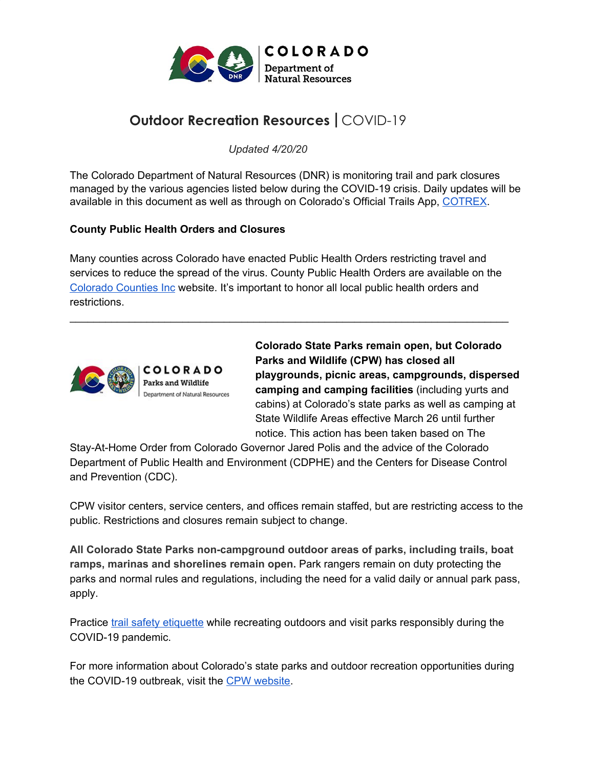

# **Outdoor Recreation Resources |** COVID-19

*Updated 4/20/20*

The Colorado Department of Natural Resources (DNR) is monitoring trail and park closures managed by the various agencies listed below during the COVID-19 crisis. Daily updates will be available in this document as well as through on Colorado's Official Trails App, [COTREX](https://trails.colorado.gov/).

#### **County Public Health Orders and Closures**

Many counties across Colorado have enacted Public Health Orders restricting travel and services to reduce the spread of the virus. County Public Health Orders are available on the [Colorado](http://ccionline.org/health-and-human-services/public-health-orders/) Counties Inc website. It's important to honor all local public health orders and restrictions.

\_\_\_\_\_\_\_\_\_\_\_\_\_\_\_\_\_\_\_\_\_\_\_\_\_\_\_\_\_\_\_\_\_\_\_\_\_\_\_\_\_\_\_\_\_\_\_\_\_\_\_\_\_\_\_\_\_\_\_\_\_\_\_\_\_\_\_\_\_\_\_\_\_\_



**Colorado State Parks remain open, but Colorado Parks and Wildlife (CPW) has closed all playgrounds, picnic areas, campgrounds, dispersed camping and camping facilities** (including yurts and cabins) at Colorado's state parks as well as camping at State Wildlife Areas effective March 26 until further notice. This action has been taken based on The

Stay-At-Home Order from Colorado Governor Jared Polis and the advice of the Colorado Department of Public Health and Environment (CDPHE) and the Centers for Disease Control and Prevention (CDC).

CPW visitor centers, service centers, and offices remain staffed, but are restricting access to the public. Restrictions and closures remain subject to change.

**All Colorado State Parks non-campground outdoor areas of parks, including trails, boat ramps, marinas and shorelines remain open.** Park rangers remain on duty protecting the parks and normal rules and regulations, including the need for a valid daily or annual park pass, apply.

Practice trail safety [etiquette](https://cpw.state.co.us/aboutus/Pages/News-Release-Details.aspx?NewsID=7306) while recreating outdoors and visit parks responsibly during the COVID-19 pandemic.

For more information about Colorado's state parks and outdoor recreation opportunities during the COVID-19 outbreak, visit the CPW [website](https://cpw.state.co.us/aboutus/Pages/COVID-19-Response.aspx?utm_source=CPW-Web&utm_medium=Slider1&utm_campaign=2020_COVID-19_Coronavirus_Info).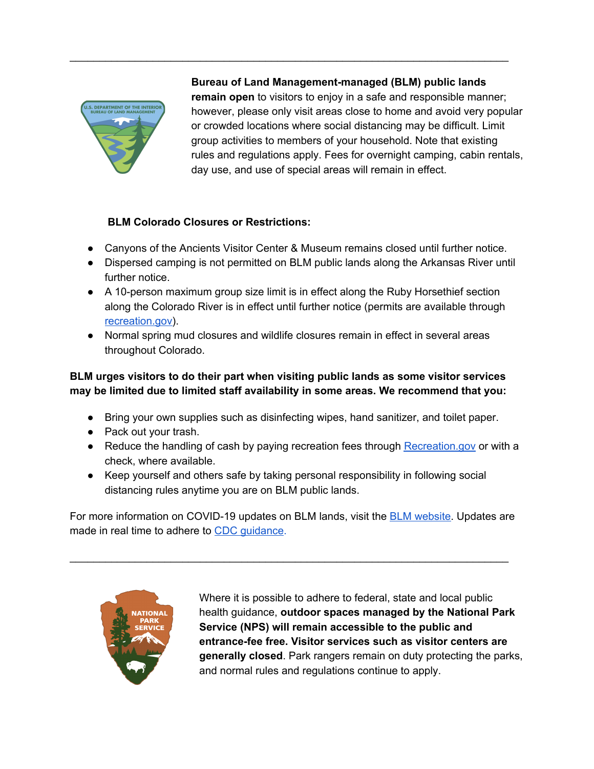

## **Bureau of Land Management-managed (BLM) public lands**

**remain open** to visitors to enjoy in a safe and responsible manner; however, please only visit areas close to home and avoid very popular or crowded locations where social distancing may be difficult. Limit group activities to members of your household. Note that existing rules and regulations apply. Fees for overnight camping, cabin rentals, day use, and use of special areas will remain in effect.

### **BLM Colorado Closures or Restrictions:**

• Canyons of the Ancients Visitor Center & Museum remains closed until further notice.

\_\_\_\_\_\_\_\_\_\_\_\_\_\_\_\_\_\_\_\_\_\_\_\_\_\_\_\_\_\_\_\_\_\_\_\_\_\_\_\_\_\_\_\_\_\_\_\_\_\_\_\_\_\_\_\_\_\_\_\_\_\_\_\_\_\_\_\_\_\_\_\_\_\_

- Dispersed camping is not permitted on BLM public lands along the Arkansas River until further notice.
- A 10-person maximum group size limit is in effect along the Ruby Horsethief section along the Colorado River is in effect until further notice (permits are available through [recreation.gov\)](http://recreation.gov/).
- Normal spring mud closures and wildlife closures remain in effect in several areas throughout Colorado.

## **BLM urges visitors to do their part when visiting public lands as some visitor services may be limited due to limited staff availability in some areas. We recommend that you:**

- Bring your own supplies such as disinfecting wipes, hand sanitizer, and toilet paper.
- Pack out your trash.
- Reduce t[h](http://recreation.gov/)e handling of cash by paying recreation fees through [Recreation.gov](http://recreation.gov/) or with a check, where available.
- Keep yourself and others safe by taking personal responsibility in following social distancing rules anytime you are on BLM public lands.

For more information on COVID-19 updates on [B](https://www.blm.gov/alert/blm-colorado-covid-19-updates)LM lands, visit the **BLM website**. Updates are made in real time to adhere t[o](https://www.cdc.gov/coronavirus/2019-nCoV/index.html) CDC [guidance.](https://www.cdc.gov/coronavirus/2019-nCoV/index.html)

\_\_\_\_\_\_\_\_\_\_\_\_\_\_\_\_\_\_\_\_\_\_\_\_\_\_\_\_\_\_\_\_\_\_\_\_\_\_\_\_\_\_\_\_\_\_\_\_\_\_\_\_\_\_\_\_\_\_\_\_\_\_\_\_\_\_\_\_\_\_\_\_\_\_



Where it is possible to adhere to federal, state and local public health guidance, **outdoor spaces managed by the National Park Service (NPS) will remain accessible to the public and entrance-fee free. Visitor services such as visitor centers are generally closed**. Park rangers remain on duty protecting the parks, and normal rules and regulations continue to apply.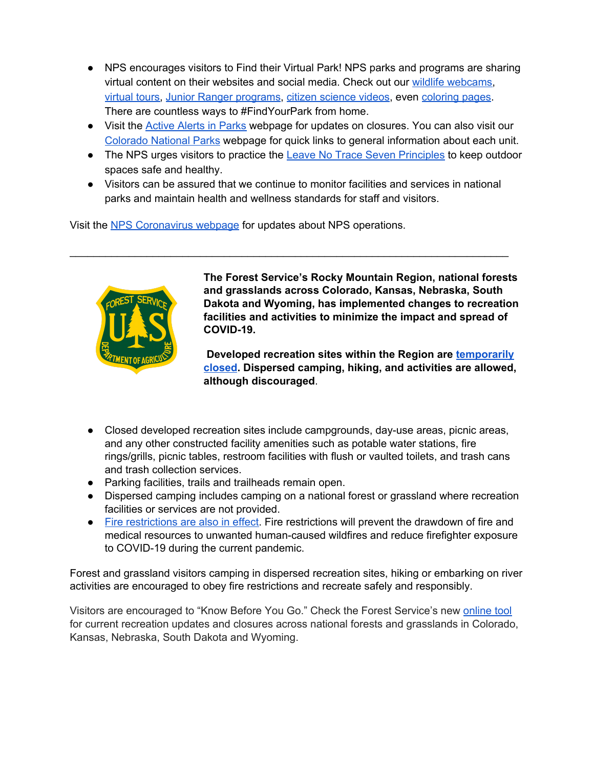- NPS encourages visitors to Find their Virtual Park! NPS parks and programs are sharing virtual content on their websites and social media. Check out our wildlife [webcams,](https://www.nps.gov/subjects/watchingwildlife/webcams.htm) [virtual](https://twitter.com/bostonNHP/status/1240005801353281536) tours, Junior Ranger [programs,](https://twitter.com/JDFossilBedsNPS/status/1239999538749779970) citizen [science](https://www.facebook.com/NatureNPS/posts/1527784560732729?__xts__%5B0%5D=68.ARBa1pXJi_o0wErCwp-42lSfjnNGSFQuh5_ANwfd8AiCc5519h5w0lgiE15XtgABmGi27CpHoBGzW8_YgGBVy6j45dYr37ZuOXvA6AzwMFiYvH_tm1zdqiFGGMrnoZcPtjld31TBp-niB7CwDC5nGscVlRCTdXYC3wgwfojV0PK6PUVvljqdep4iu2Jtf5ZYdLcVfS1WNPJb00eDAItHBsHpCXlT2zimEMQCMVu2abMJML11Oe_ZmHQxdYdbUzcdh9f6XXISrWLjk8DC8Aig1oRsZcE0m0sw3qzXN5KO4ZP2_Hl1Q8GvrQValrgZnakjP5Klp_4IBQeEpBsqk-ADDRn4Kw&__tn__=-R) videos, even [coloring](https://www.facebook.com/nationalparkservice/posts/10156800680791389?__tn__=-R) pages. There are countless ways to #FindYourPark from home.
- Visit th[e](https://www.nps.gov/planyourvisit/alerts.htm?s=CO&t=Closure&p=1&v=0) [Active](https://www.nps.gov/planyourvisit/alerts.htm?s=CO&t=Closure&p=1&v=0) Alerts in Parks webpage for updates on closures. You can also visit our [Colorado](https://www.nps.gov/colorado) National Parks webpage for quick links to general information about each unit.
- Th[e](https://www.nps.gov/articles/leave-no-trace-seven-principles.htm) NPS urges visitors to practice the Leave No Trace Seven [Principles](https://www.nps.gov/articles/leave-no-trace-seven-principles.htm) to keep outdoor spaces safe and healthy.
- Visitors can be assured that we continue to monitor facilities and services in national parks and maintain health and wellness standards for staff and visitors.

\_\_\_\_\_\_\_\_\_\_\_\_\_\_\_\_\_\_\_\_\_\_\_\_\_\_\_\_\_\_\_\_\_\_\_\_\_\_\_\_\_\_\_\_\_\_\_\_\_\_\_\_\_\_\_\_\_\_\_\_\_\_\_\_\_\_\_\_\_\_\_\_\_\_

Visit th[e](http://www.nps.gov/coronavirus) NPS [Coronavirus](http://www.nps.gov/coronavirus) webpage for updates about NPS operations.



**The Forest Service's Rocky Mountain Region, national forests and grasslands across Colorado, Kansas, Nebraska, South Dakota and Wyoming, has implemented changes to recreation facilities and activities to minimize the impact and spread of COVID-19.**

**Developed recreation sites within the Region ar[e](https://www.fs.usda.gov/Internet/FSE_DOCUMENTS/fseprd721649.pdf) [temporarily](https://www.fs.usda.gov/Internet/FSE_DOCUMENTS/fseprd721649.pdf) [closed](https://www.fs.usda.gov/Internet/FSE_DOCUMENTS/fseprd721649.pdf). Dispersed camping, hiking, and activities are allowed, although discouraged**.

- Closed developed recreation sites include campgrounds, day-use areas, picnic areas, and any other constructed facility amenities such as potable water stations, fire rings/grills, picnic tables, restroom facilities with flush or vaulted toilets, and trash cans and trash collection services.
- Parking facilities, trails and trailheads remain open.
- Dispersed camping includes camping on a national forest or grassland where recreation facilities or services are not provided.
- Fire [restrictions](https://www.fs.usda.gov/Internet/FSE_DOCUMENTS/fseprd721651.pdf) are also in effect. Fire restrictions will prevent the drawdown of fire and medical resources to unwanted human-caused wildfires and reduce firefighter exposure to COVID-19 during the current pandemic.

Forest and grassland visitors camping in dispersed recreation sites, hiking or embarking on river activities are encouraged to obey fire restrictions and recreate safely and responsibly.

Visitors are encouraged to "Know Before You Go." Check the Forest Service's new [online](https://urldefense.proofpoint.com/v2/url?u=https-3A__gcc02.safelinks.protection.outlook.com_-3Furl-3Dhttps-253A-252F-252Fusfs.maps.arcgis.com-252Fapps-252FMapSeries-252Findex.html-253Fappid-253D45858bd98aa641ed97734d01b437c2d6-26data-3D02-257C01-257C-257C4995cc73d4324378332208d7e267a9e6-257Ced5b36e701ee4ebc867ee03cfa0d4697-257C0-257C0-257C637226807188302109-26sdata-3D7ngVBpcgmnyy1Yt3dpUAmH9nWJodq1AfXMtZB-252Fo9sf8-253D-26reserved-3D0&d=DwMF-g&c=sdnEM9SRGFuMt5z5w3AhsPNahmNicq64TgF1JwNR0cs&r=eIzrkKAC-uCmg9ZkLiv2eXY6G6emettGeZYbBSauQQw&m=t62GUijjaS09ERCJUwO2b3HzEDCgSFmOCbzAPacimPo&s=kKaN3QouGNFCg6zVdrfj4TAgc-JSPET-jAY80ZzL-Ik&e=) tool for current recreation updates and closures across national forests and grasslands in Colorado, Kansas, Nebraska, South Dakota and Wyoming.